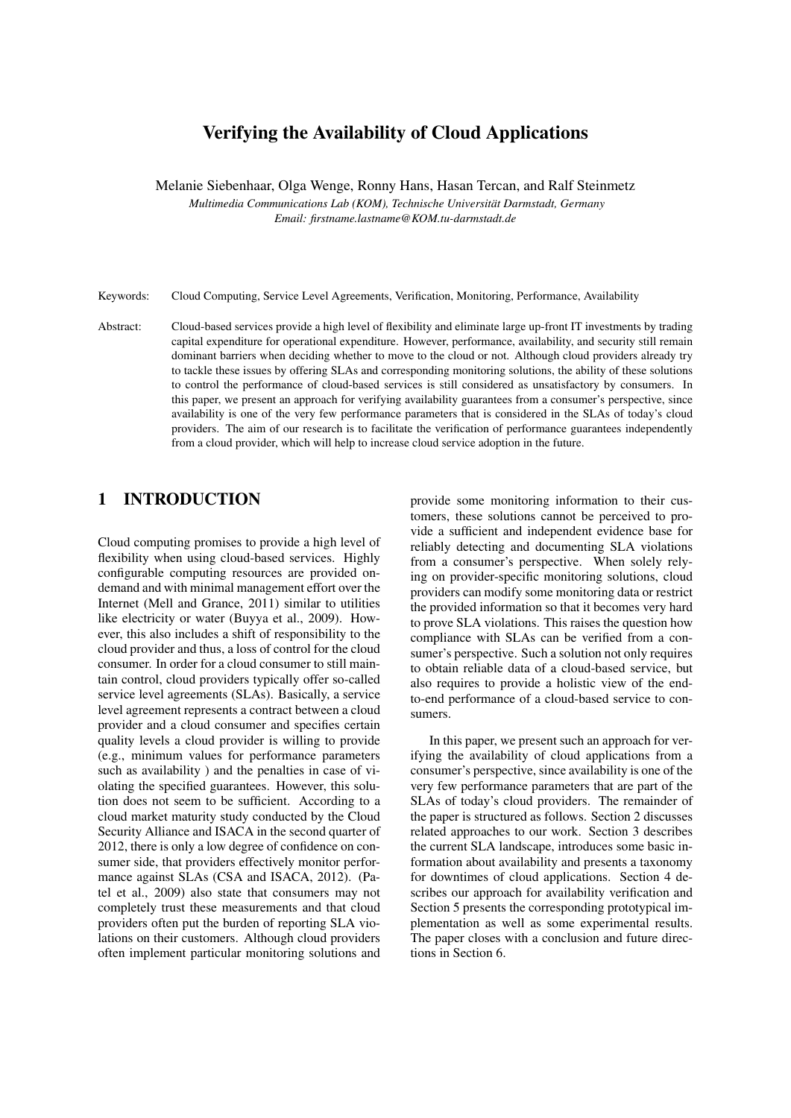# Verifying the Availability of Cloud Applications

Melanie Siebenhaar, Olga Wenge, Ronny Hans, Hasan Tercan, and Ralf Steinmetz *Multimedia Communications Lab (KOM), Technische Universitat Darmstadt, Germany ¨ Email: firstname.lastname@KOM.tu-darmstadt.de*

Keywords: Cloud Computing, Service Level Agreements, Verification, Monitoring, Performance, Availability

Abstract: Cloud-based services provide a high level of flexibility and eliminate large up-front IT investments by trading capital expenditure for operational expenditure. However, performance, availability, and security still remain dominant barriers when deciding whether to move to the cloud or not. Although cloud providers already try to tackle these issues by offering SLAs and corresponding monitoring solutions, the ability of these solutions to control the performance of cloud-based services is still considered as unsatisfactory by consumers. In this paper, we present an approach for verifying availability guarantees from a consumer's perspective, since availability is one of the very few performance parameters that is considered in the SLAs of today's cloud providers. The aim of our research is to facilitate the verification of performance guarantees independently from a cloud provider, which will help to increase cloud service adoption in the future.

# 1 INTRODUCTION

Cloud computing promises to provide a high level of flexibility when using cloud-based services. Highly configurable computing resources are provided ondemand and with minimal management effort over the Internet (Mell and Grance, 2011) similar to utilities like electricity or water (Buyya et al., 2009). However, this also includes a shift of responsibility to the cloud provider and thus, a loss of control for the cloud consumer. In order for a cloud consumer to still maintain control, cloud providers typically offer so-called service level agreements (SLAs). Basically, a service level agreement represents a contract between a cloud provider and a cloud consumer and specifies certain quality levels a cloud provider is willing to provide (e.g., minimum values for performance parameters such as availability ) and the penalties in case of violating the specified guarantees. However, this solution does not seem to be sufficient. According to a cloud market maturity study conducted by the Cloud Security Alliance and ISACA in the second quarter of 2012, there is only a low degree of confidence on consumer side, that providers effectively monitor performance against SLAs (CSA and ISACA, 2012). (Patel et al., 2009) also state that consumers may not completely trust these measurements and that cloud providers often put the burden of reporting SLA violations on their customers. Although cloud providers often implement particular monitoring solutions and

provide some monitoring information to their customers, these solutions cannot be perceived to provide a sufficient and independent evidence base for reliably detecting and documenting SLA violations from a consumer's perspective. When solely relying on provider-specific monitoring solutions, cloud providers can modify some monitoring data or restrict the provided information so that it becomes very hard to prove SLA violations. This raises the question how compliance with SLAs can be verified from a consumer's perspective. Such a solution not only requires to obtain reliable data of a cloud-based service, but also requires to provide a holistic view of the endto-end performance of a cloud-based service to consumers.

In this paper, we present such an approach for verifying the availability of cloud applications from a consumer's perspective, since availability is one of the very few performance parameters that are part of the SLAs of today's cloud providers. The remainder of the paper is structured as follows. Section 2 discusses related approaches to our work. Section 3 describes the current SLA landscape, introduces some basic information about availability and presents a taxonomy for downtimes of cloud applications. Section 4 describes our approach for availability verification and Section 5 presents the corresponding prototypical implementation as well as some experimental results. The paper closes with a conclusion and future directions in Section 6.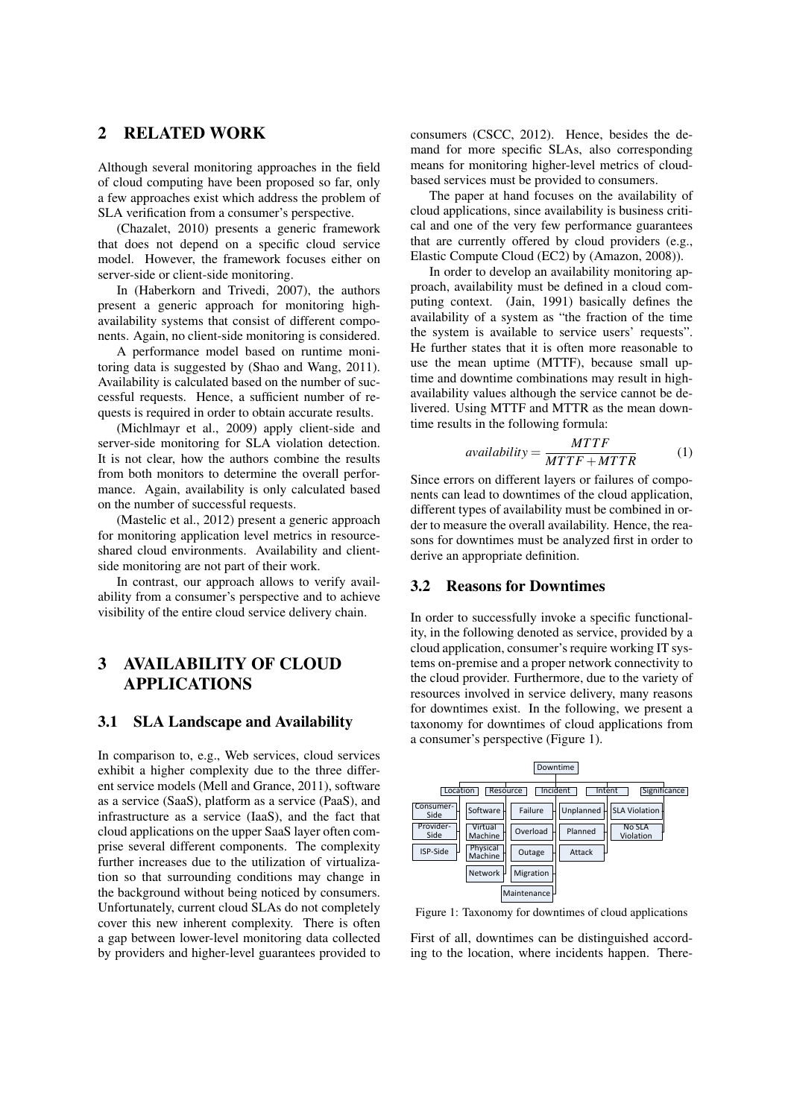## 2 RELATED WORK

Although several monitoring approaches in the field of cloud computing have been proposed so far, only a few approaches exist which address the problem of SLA verification from a consumer's perspective.

(Chazalet, 2010) presents a generic framework that does not depend on a specific cloud service model. However, the framework focuses either on server-side or client-side monitoring.

In (Haberkorn and Trivedi, 2007), the authors present a generic approach for monitoring highavailability systems that consist of different components. Again, no client-side monitoring is considered.

A performance model based on runtime monitoring data is suggested by (Shao and Wang, 2011). Availability is calculated based on the number of successful requests. Hence, a sufficient number of requests is required in order to obtain accurate results.

(Michlmayr et al., 2009) apply client-side and server-side monitoring for SLA violation detection. It is not clear, how the authors combine the results from both monitors to determine the overall performance. Again, availability is only calculated based on the number of successful requests.

(Mastelic et al., 2012) present a generic approach for monitoring application level metrics in resourceshared cloud environments. Availability and clientside monitoring are not part of their work.

In contrast, our approach allows to verify availability from a consumer's perspective and to achieve visibility of the entire cloud service delivery chain.

## 3 AVAILABILITY OF CLOUD APPLICATIONS

#### 3.1 SLA Landscape and Availability

In comparison to, e.g., Web services, cloud services exhibit a higher complexity due to the three different service models (Mell and Grance, 2011), software as a service (SaaS), platform as a service (PaaS), and infrastructure as a service (IaaS), and the fact that cloud applications on the upper SaaS layer often comprise several different components. The complexity further increases due to the utilization of virtualization so that surrounding conditions may change in the background without being noticed by consumers. Unfortunately, current cloud SLAs do not completely cover this new inherent complexity. There is often a gap between lower-level monitoring data collected by providers and higher-level guarantees provided to consumers (CSCC, 2012). Hence, besides the demand for more specific SLAs, also corresponding means for monitoring higher-level metrics of cloudbased services must be provided to consumers.

The paper at hand focuses on the availability of cloud applications, since availability is business critical and one of the very few performance guarantees that are currently offered by cloud providers (e.g., Elastic Compute Cloud (EC2) by (Amazon, 2008)).

In order to develop an availability monitoring approach, availability must be defined in a cloud computing context. (Jain, 1991) basically defines the availability of a system as "the fraction of the time the system is available to service users' requests". He further states that it is often more reasonable to use the mean uptime (MTTF), because small uptime and downtime combinations may result in highavailability values although the service cannot be delivered. Using MTTF and MTTR as the mean downtime results in the following formula:

$$
available ity = \frac{MTTF}{MTTF + MTTR}
$$
 (1)

Since errors on different layers or failures of components can lead to downtimes of the cloud application, different types of availability must be combined in order to measure the overall availability. Hence, the reasons for downtimes must be analyzed first in order to derive an appropriate definition.

#### 3.2 Reasons for Downtimes

In order to successfully invoke a specific functionality, in the following denoted as service, provided by a cloud application, consumer's require working IT systems on-premise and a proper network connectivity to the cloud provider. Furthermore, due to the variety of resources involved in service delivery, many reasons for downtimes exist. In the following, we present a taxonomy for downtimes of cloud applications from a consumer's perspective (Figure 1).



Figure 1: Taxonomy for downtimes of cloud applications

First of all, downtimes can be distinguished according to the location, where incidents happen. There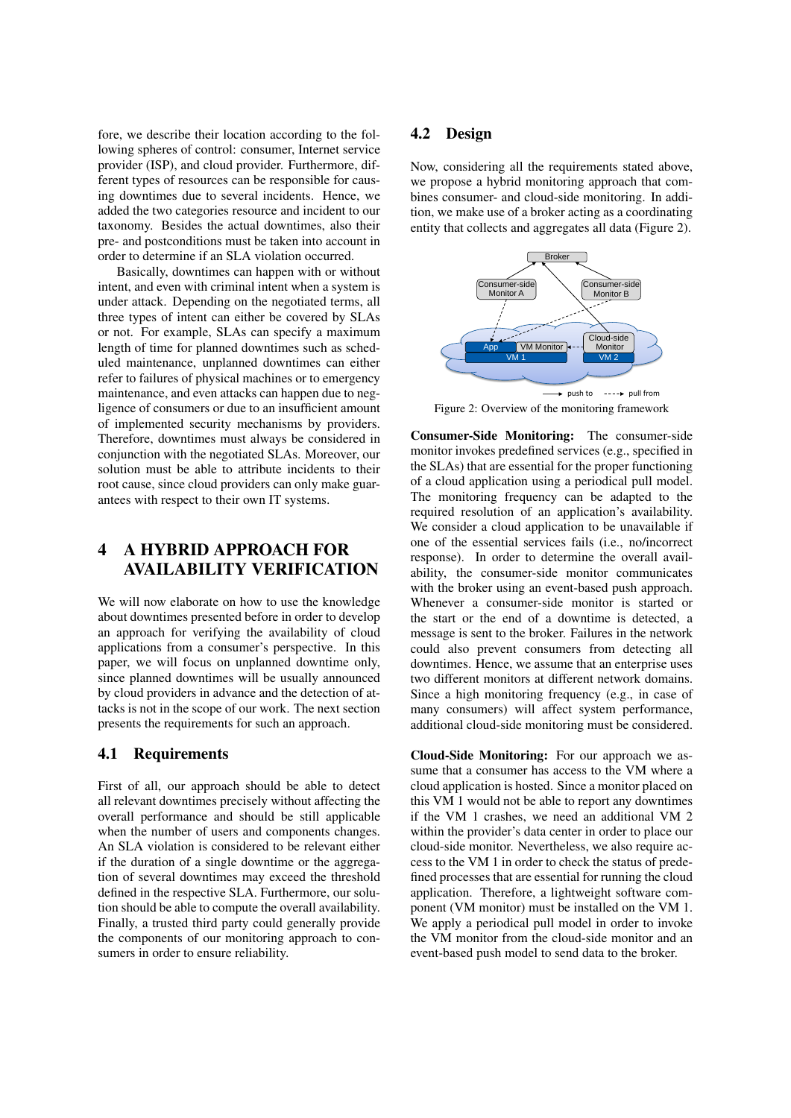fore, we describe their location according to the following spheres of control: consumer, Internet service provider (ISP), and cloud provider. Furthermore, different types of resources can be responsible for causing downtimes due to several incidents. Hence, we added the two categories resource and incident to our taxonomy. Besides the actual downtimes, also their pre- and postconditions must be taken into account in order to determine if an SLA violation occurred.

Basically, downtimes can happen with or without intent, and even with criminal intent when a system is under attack. Depending on the negotiated terms, all three types of intent can either be covered by SLAs or not. For example, SLAs can specify a maximum length of time for planned downtimes such as scheduled maintenance, unplanned downtimes can either refer to failures of physical machines or to emergency maintenance, and even attacks can happen due to negligence of consumers or due to an insufficient amount of implemented security mechanisms by providers. Therefore, downtimes must always be considered in conjunction with the negotiated SLAs. Moreover, our solution must be able to attribute incidents to their root cause, since cloud providers can only make guarantees with respect to their own IT systems.

# 4 A HYBRID APPROACH FOR AVAILABILITY VERIFICATION

We will now elaborate on how to use the knowledge about downtimes presented before in order to develop an approach for verifying the availability of cloud applications from a consumer's perspective. In this paper, we will focus on unplanned downtime only, since planned downtimes will be usually announced by cloud providers in advance and the detection of attacks is not in the scope of our work. The next section presents the requirements for such an approach.

### 4.1 Requirements

First of all, our approach should be able to detect all relevant downtimes precisely without affecting the overall performance and should be still applicable when the number of users and components changes. An SLA violation is considered to be relevant either if the duration of a single downtime or the aggregation of several downtimes may exceed the threshold defined in the respective SLA. Furthermore, our solution should be able to compute the overall availability. Finally, a trusted third party could generally provide the components of our monitoring approach to consumers in order to ensure reliability.

#### 4.2 Design

Now, considering all the requirements stated above, we propose a hybrid monitoring approach that combines consumer- and cloud-side monitoring. In addition, we make use of a broker acting as a coordinating entity that collects and aggregates all data (Figure 2).



Figure 2: Overview of the monitoring framework

Consumer-Side Monitoring: The consumer-side monitor invokes predefined services (e.g., specified in the SLAs) that are essential for the proper functioning of a cloud application using a periodical pull model. The monitoring frequency can be adapted to the required resolution of an application's availability. We consider a cloud application to be unavailable if one of the essential services fails (i.e., no/incorrect response). In order to determine the overall availability, the consumer-side monitor communicates with the broker using an event-based push approach. Whenever a consumer-side monitor is started or the start or the end of a downtime is detected, a message is sent to the broker. Failures in the network could also prevent consumers from detecting all downtimes. Hence, we assume that an enterprise uses two different monitors at different network domains. Since a high monitoring frequency (e.g., in case of many consumers) will affect system performance, additional cloud-side monitoring must be considered.

Cloud-Side Monitoring: For our approach we assume that a consumer has access to the VM where a cloud application is hosted. Since a monitor placed on this VM 1 would not be able to report any downtimes if the VM 1 crashes, we need an additional VM 2 within the provider's data center in order to place our cloud-side monitor. Nevertheless, we also require access to the VM 1 in order to check the status of predefined processes that are essential for running the cloud application. Therefore, a lightweight software component (VM monitor) must be installed on the VM 1. We apply a periodical pull model in order to invoke the VM monitor from the cloud-side monitor and an event-based push model to send data to the broker.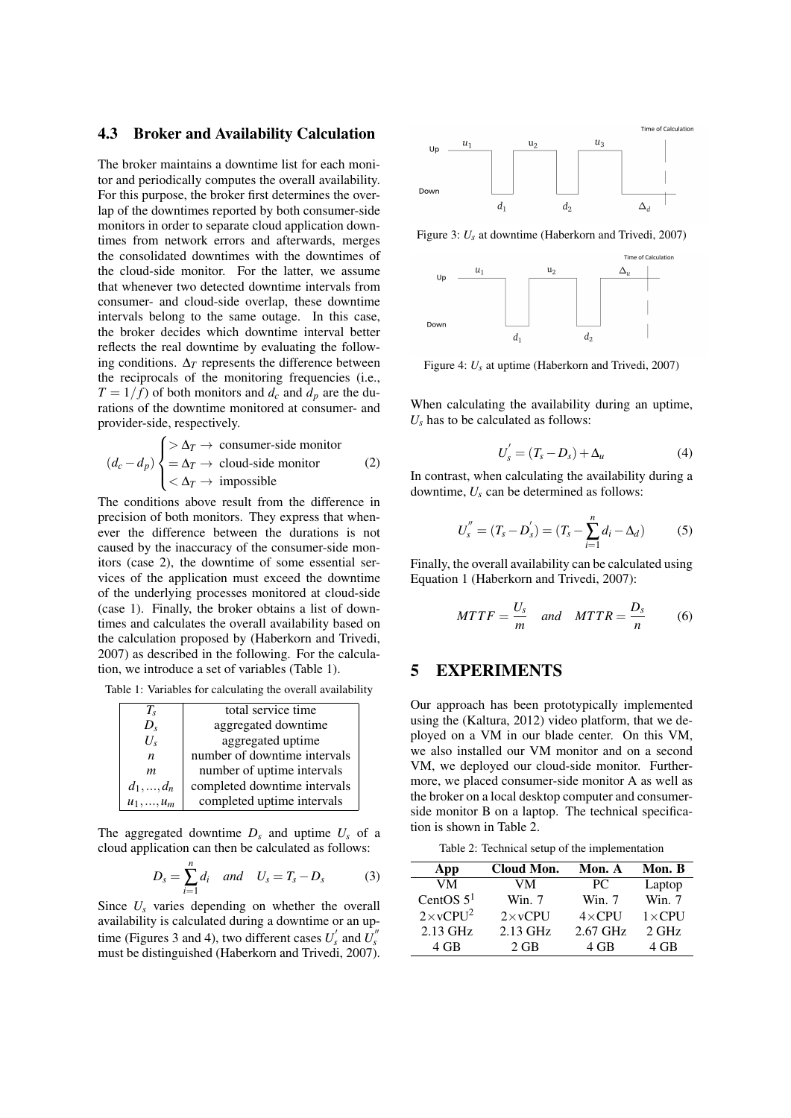#### 4.3 Broker and Availability Calculation

The broker maintains a downtime list for each monitor and periodically computes the overall availability. For this purpose, the broker first determines the overlap of the downtimes reported by both consumer-side monitors in order to separate cloud application downtimes from network errors and afterwards, merges the consolidated downtimes with the downtimes of the cloud-side monitor. For the latter, we assume that whenever two detected downtime intervals from consumer- and cloud-side overlap, these downtime intervals belong to the same outage. In this case, the broker decides which downtime interval better reflects the real downtime by evaluating the following conditions.  $\Delta_T$  represents the difference between the reciprocals of the monitoring frequencies (i.e.,  $T = 1/f$  of both monitors and  $d_c$  and  $d_p$  are the durations of the downtime monitored at consumer- and provider-side, respectively.

$$
(d_c - d_p) \begin{cases} > \Delta_T \to \text{ consumer-side monitor} \\ = \Delta_T \to \text{cloud-side monitor} \\ < \Delta_T \to \text{impossible} \end{cases} (2)
$$

The conditions above result from the difference in precision of both monitors. They express that whenever the difference between the durations is not caused by the inaccuracy of the consumer-side monitors (case 2), the downtime of some essential services of the application must exceed the downtime of the underlying processes monitored at cloud-side (case 1). Finally, the broker obtains a list of downtimes and calculates the overall availability based on the calculation proposed by (Haberkorn and Trivedi, 2007) as described in the following. For the calculation, we introduce a set of variables (Table 1).

Table 1: Variables for calculating the overall availability

| T,                 | total service time           |  |  |
|--------------------|------------------------------|--|--|
| $D_{s}$            | aggregated downtime          |  |  |
| U,                 | aggregated uptime            |  |  |
| $\boldsymbol{n}$   | number of downtime intervals |  |  |
| m                  | number of uptime intervals   |  |  |
| $d_1, , d_n$       | completed downtime intervals |  |  |
| $u_1, \ldots, u_m$ | completed uptime intervals   |  |  |

The aggregated downtime  $D_s$  and uptime  $U_s$  of a cloud application can then be calculated as follows:

$$
D_s = \sum_{i=1}^n d_i \quad and \quad U_s = T_s - D_s \tag{3}
$$

Since  $U_s$  varies depending on whether the overall availability is calculated during a downtime or an uptime (Figures 3 and 4), two different cases  $U_s'$  and  $\overline{U_s''}$ must be distinguished (Haberkorn and Trivedi, 2007).



Figure 3: *Us* at downtime (Haberkorn and Trivedi, 2007)



Figure 4: *Us* at uptime (Haberkorn and Trivedi, 2007)

When calculating the availability during an uptime,  $U_s$  has to be calculated as follows:

$$
U'_{s} = (T_{s} - D_{s}) + \Delta_{u}
$$
 (4)

In contrast, when calculating the availability during a downtime,  $U_s$  can be determined as follows:

$$
U_s'' = (T_s - D_s') = (T_s - \sum_{i=1}^n d_i - \Delta_d)
$$
 (5)

Finally, the overall availability can be calculated using Equation 1 (Haberkorn and Trivedi, 2007):

$$
MTTF = \frac{U_s}{m} \quad and \quad MTTR = \frac{D_s}{n} \tag{6}
$$

### 5 EXPERIMENTS

Our approach has been prototypically implemented using the (Kaltura, 2012) video platform, that we deployed on a VM in our blade center. On this VM, we also installed our VM monitor and on a second VM, we deployed our cloud-side monitor. Furthermore, we placed consumer-side monitor A as well as the broker on a local desktop computer and consumerside monitor B on a laptop. The technical specification is shown in Table 2.

Table 2: Technical setup of the implementation

| App                           | Cloud Mon.      | Mon. A        | Mon. B          |
|-------------------------------|-----------------|---------------|-----------------|
| VM                            | VМ              | PC.           | Laptop          |
| CentOS $51$                   | Win. $7$        | Win. 7        | Win. $7$        |
| $2 \times v$ CPU <sup>2</sup> | $2 \times$ vCPU | $4\times$ CPU | $1 \times CPU$  |
| 2.13 GHz                      | $2.13$ GHz      | $2.67$ GHz    | $2 \text{ GHz}$ |
| 4 GB                          | $2$ GB          | 4 GB          | 4 GB            |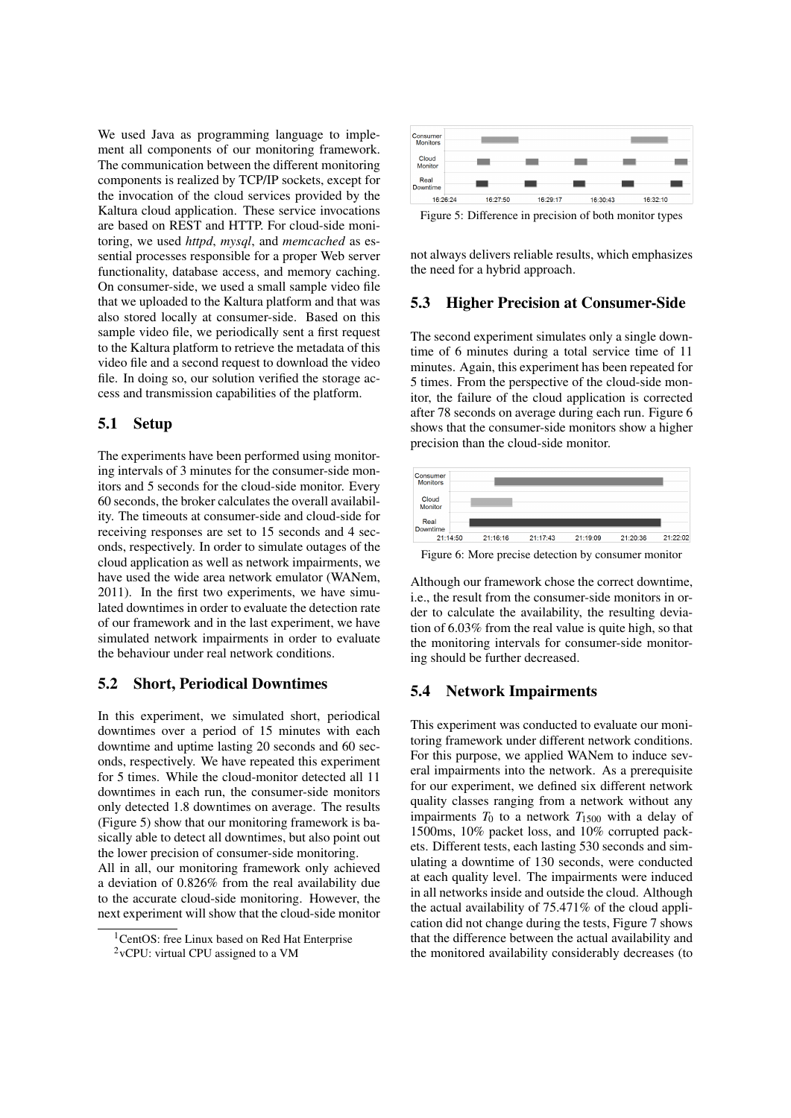We used Java as programming language to implement all components of our monitoring framework. The communication between the different monitoring components is realized by TCP/IP sockets, except for the invocation of the cloud services provided by the Kaltura cloud application. These service invocations are based on REST and HTTP. For cloud-side monitoring, we used *httpd*, *mysql*, and *memcached* as essential processes responsible for a proper Web server functionality, database access, and memory caching. On consumer-side, we used a small sample video file that we uploaded to the Kaltura platform and that was also stored locally at consumer-side. Based on this sample video file, we periodically sent a first request to the Kaltura platform to retrieve the metadata of this video file and a second request to download the video file. In doing so, our solution verified the storage access and transmission capabilities of the platform.

### 5.1 Setup

The experiments have been performed using monitoring intervals of 3 minutes for the consumer-side monitors and 5 seconds for the cloud-side monitor. Every 60 seconds, the broker calculates the overall availability. The timeouts at consumer-side and cloud-side for receiving responses are set to 15 seconds and 4 seconds, respectively. In order to simulate outages of the cloud application as well as network impairments, we have used the wide area network emulator (WANem, 2011). In the first two experiments, we have simulated downtimes in order to evaluate the detection rate of our framework and in the last experiment, we have simulated network impairments in order to evaluate the behaviour under real network conditions.

#### 5.2 Short, Periodical Downtimes

In this experiment, we simulated short, periodical downtimes over a period of 15 minutes with each downtime and uptime lasting 20 seconds and 60 seconds, respectively. We have repeated this experiment for 5 times. While the cloud-monitor detected all 11 downtimes in each run, the consumer-side monitors only detected 1.8 downtimes on average. The results (Figure 5) show that our monitoring framework is basically able to detect all downtimes, but also point out the lower precision of consumer-side monitoring.

All in all, our monitoring framework only achieved a deviation of 0.826% from the real availability due to the accurate cloud-side monitoring. However, the next experiment will show that the cloud-side monitor



Figure 5: Difference in precision of both monitor types

not always delivers reliable results, which emphasizes the need for a hybrid approach.

#### 5.3 Higher Precision at Consumer-Side

The second experiment simulates only a single downtime of 6 minutes during a total service time of 11 minutes. Again, this experiment has been repeated for 5 times. From the perspective of the cloud-side monitor, the failure of the cloud application is corrected after 78 seconds on average during each run. Figure 6 shows that the consumer-side monitors show a higher precision than the cloud-side monitor.



Although our framework chose the correct downtime, i.e., the result from the consumer-side monitors in order to calculate the availability, the resulting deviation of 6.03% from the real value is quite high, so that the monitoring intervals for consumer-side monitoring should be further decreased.

#### 5.4 Network Impairments

This experiment was conducted to evaluate our monitoring framework under different network conditions. For this purpose, we applied WANem to induce several impairments into the network. As a prerequisite for our experiment, we defined six different network quality classes ranging from a network without any impairments  $T_0$  to a network  $T_{1500}$  with a delay of 1500ms, 10% packet loss, and 10% corrupted packets. Different tests, each lasting 530 seconds and simulating a downtime of 130 seconds, were conducted at each quality level. The impairments were induced in all networks inside and outside the cloud. Although the actual availability of 75.471% of the cloud application did not change during the tests, Figure 7 shows that the difference between the actual availability and the monitored availability considerably decreases (to

<sup>&</sup>lt;sup>1</sup>CentOS: free Linux based on Red Hat Enterprise

 $2$ <sub>V</sub>CPU: virtual CPU assigned to a VM